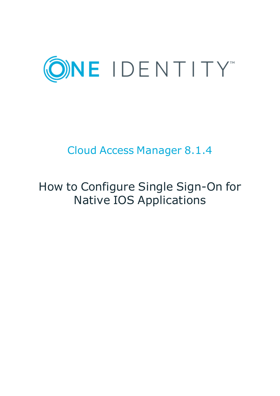

# Cloud Access Manager 8.1.4

# How to Configure Single Sign-On for Native IOS Applications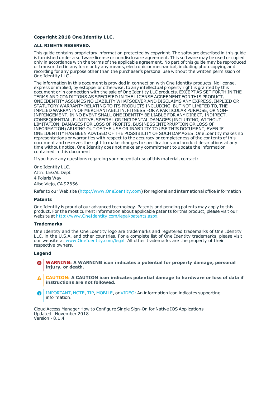#### **Copyright 2018 One Identity LLC.**

#### **ALL RIGHTS RESERVED.**

This guide contains proprietary information protected by copyright. The software described in this guide is furnished under a software license or nondisclosure agreement. This software may be used or copied only in accordance with the terms of the applicable agreement. No part of this guide may be reproduced or transmitted in any form or by any means, electronic or mechanical, including photocopying and recording for any purpose other than the purchaser's personal use without the written permission of One Identity LLC .

The information in this document is provided in connection with One Identity products. No license, express or implied, by estoppel or otherwise, to any intellectual property right is granted by this document or in connection with the sale of One Identity LLC products. EXCEPT AS SET FORTH IN THE TERMS AND CONDITIONS AS SPECIFIED IN THE LICENSE AGREEMENT FOR THIS PRODUCT, ONE IDENTITY ASSUMES NO LIABILITY WHATSOEVER AND DISCLAIMS ANY EXPRESS, IMPLIED OR STATUTORY WARRANTY RELATING TO ITS PRODUCTS INCLUDING, BUT NOT LIMITED TO, THE IMPLIED WARRANTY OF MERCHANTABILITY, FITNESS FOR A PARTICULAR PURPOSE, OR NON-INFRINGEMENT. IN NO EVENT SHALL ONE IDENTITY BE LIABLE FOR ANY DIRECT, INDIRECT, CONSEQUENTIAL, PUNITIVE, SPECIAL OR INCIDENTAL DAMAGES (INCLUDING, WITHOUT LIMITATION, DAMAGES FOR LOSS OF PROFITS, BUSINESS INTERRUPTION OR LOSS OF INFORMATION) ARISING OUT OF THE USE OR INABILITY TO USE THIS DOCUMENT, EVEN IF ONE IDENTITY HAS BEEN ADVISED OF THE POSSIBILITY OF SUCH DAMAGES. One Identity makes no representations or warranties with respect to the accuracy or completeness of the contents of this document and reserves the right to make changes to specifications and product descriptions at any time without notice. One Identity does not make any commitment to update the information contained in this document.

If you have any questions regarding your potential use of this material, contact:

One Identity LLC. Attn: LEGAL Dept 4 Polaris Way Aliso Viejo, CA 92656

Refer to our Web site ([http://www.OneIdentity.com](http://www.oneidentity.com/)) for regional and international office information.

#### **Patents**

One Identity is proud of our advanced technology. Patents and pending patents may apply to this product. For the most current information about applicable patents for this product, please visit our website at [http://www.OneIdentity.com/legal/patents.aspx](http://www.oneidentity.com/legal/patents.aspx).

#### **Trademarks**

One Identity and the One Identity logo are trademarks and registered trademarks of One Identity LLC. in the U.S.A. and other countries. For a complete list of One Identity trademarks, please visit our website at [www.OneIdentity.com/legal](http://www.oneidentity.com/legal). All other trademarks are the property of their respective owners.

#### **Legend**

- **WARNING: A WARNING icon indicates a potential for property damage, personal injury, or death.**
- **CAUTION: A CAUTION icon indicates potential damage to hardware or loss of data if instructions are not followed.**
- IMPORTANT, NOTE, TIP, MOBILE, or VIDEO: An information icon indicates supporting Œ information.

Cloud Access Manager How to Configure Single Sign-On for Native IOS Applications Updated - November 2018 Version - 8.1.4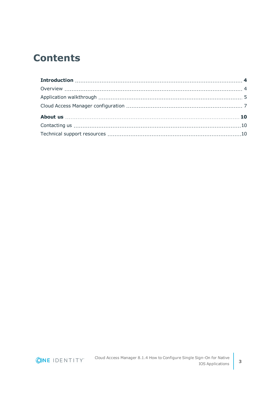### **Contents**

ONE IDENTITY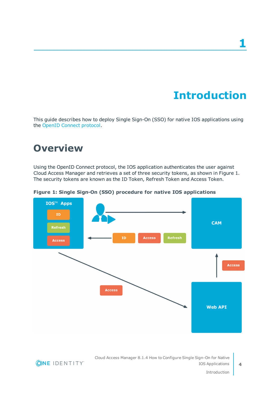# **Introduction**

<span id="page-3-0"></span>This guide describes how to deploy Single Sign-On (SSO) for native IOS applications using the OpenID Connect [protocol.](http://openid.net/connect/)

### <span id="page-3-1"></span>**Overview**

Using the OpenID Connect protocol, the IOS application authenticates the user against Cloud Access Manager and retrieves a set of three security tokens, as shown in Figure 1. The security tokens are known as the ID Token, Refresh Token and Access Token.



**Figure 1: Single Sign-On (SSO) procedure for native IOS applications**

Cloud Access Manager 8.1.4 How to Configure Single Sign-On for Native IOS Applications



Introduction

**4**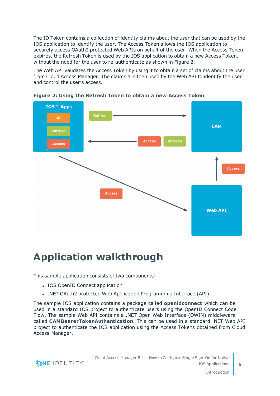The ID Token contains a collection of identity claims about the user that can be used by the IOS application to identify the user. The Access Token allows the IOS application to securely access OAuth2 protected Web APIs on behalf of the user. When the Access Token expires, the Refresh Token is used by the IOS application to obtain a new Access Token, without the need for the user to re-authenticate as shown in Figure 2.

The Web API validates the Access Token by using it to obtain a set of claims about the user from Cloud Access Manager. The claims are then used by the Web API to identify the user and control the user's access.



**Figure 2: Using the Refresh Token to obtain a new Access Token**

### <span id="page-4-0"></span>**Application walkthrough**

This sample application consists of two components:

- IOS OpenID Connect application
- . .NET OAuth2 protected Web Application Programming Interface (API)

The sample IOS application contains a package called **openidconnect** which can be used in a standard IOS project to authenticate users using the OpenID Connect Code Flow. The sample Web API contains a .NET Open Web Interface (OWIN) middleware called **CAMBearerTokenAuthentication**. This can be used in a standard .NET Web API project to authenticate the IOS application using the Access Tokens obtained from Cloud Access Manager.

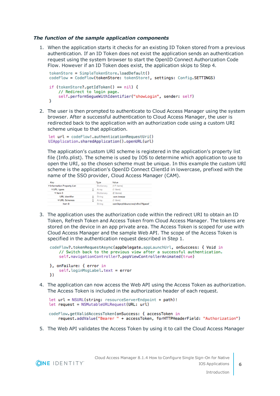### *The function of the sample application components*

1. When the application starts it checks for an existing ID Token stored from a previous authentication. If an ID Token does not exist the application sends an authentication request using the system browser to start the OpenID Connect Authorization Code Flow. However if an ID Token does exist, the application skips to Step 4.

```
tokenStore = SimpleTokenStore.loadDefault()
codeFlow = CodeFlow(tokenStore: tokenStore!, settings: Config.SETTINGS)
if (tokenStore?.getIdToken() == nil) {
    // Redirect to login page.
    self.performSegueWithIdentifier("showLogin", sender: self)
¥
```
2. The user is then prompted to authenticate to Cloud Access Manager using the system browser. After a successful authentication to Cloud Access Manager, the user is redirected back to the application with an authorization code using a custom URI scheme unique to that application.

```
let url = codeFlow!.authenticationRequestUri()UIApplication.sharedApplication().openURL(url)
```
The application's custom URI scheme is registered in the application's property list file (Info.plist). The scheme is used by IOS to determine which application to use to open the URI, so the chosen scheme must be unique. In this example the custom URI scheme is the application's OpenID Connect ClientId in lowercase, prefixed with the name of the SSO provider, Cloud Access Manager (CAM).

| Kev                               | <b>Type</b>   | Value                           |
|-----------------------------------|---------------|---------------------------------|
| <b>▼Information Property List</b> | Dictionary    | $(17$ items)                    |
| $\nabla$ URL types                | Array         | $(1$ item)                      |
| $\blacktriangledown$ Item 0       | Dictionary    | (2 items)                       |
| <b>URL</b> identifier             | String        | cam.iosapp                      |
| URL Schemes                       | Array         | $(1$ item)                      |
| Item 0                            | <b>String</b> | cam3qwytikbunzcwojtv8vz7ffgaosf |

3. The application uses the authorization code within the redirect URI to obtain an ID Token, Refresh Token and Access Token from Cloud Access Manager. The tokens are stored on the device in an app private area. The Access Token is scoped for use with Cloud Access Manager and the sample Web API. The scope of the Access Token is specified in the authentication request described in Step 1.

```
codeFlow?.tokenRequestAsync(appDelegate.appLaunchUrl, onSuccess: { Void in
    // Switch back to the previous view after a successful authentication.
    self.navigationController?.popViewControllerAnimated(true)
}, onFailure: { error in
```

```
self.loginMsgLabel.text = error
\mathcal{Y}
```
4. The application can now access the Web API using the Access Token as authorization. The Access Token is included in the authorization header of each request.

```
let url = NSURL(string: resourceServerEndpoint + path)!
let request = NSMutableURLRequest(URL: url)
```

```
codeFlow.getValidAccessToken(onSuccess: { accessToken in
    request.addValue("Bearer " + accessToken, forHTTPHeaderField: "Authorization")
```
5. The Web API validates the Access Token by using it to call the Cloud Access Manager



**6**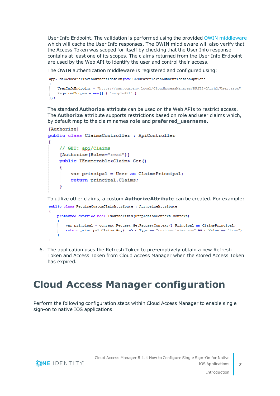User Info Endpoint. The validation is performed using the provided OWIN [middleware](http://owin.org/) which will cache the User Info responses. The OWIN middleware will also verify that the Access Token was scoped for itself by checking that the User Info response contains at least one of its scopes. The claims returned from the User Info Endpoint are used by the Web API to identify the user and control their access.

The OWIN authentication middleware is registered and configured using:

```
app.UseCAMBearerTokenAuthentication(new CAMBearerTokenAuthenticationOptions
    UserInfoEndpoint = "https://cam.company.local/CloudAccessManager/RPSTS/OAuth2/User.aspx",
   RequiredScopes = new[] { "sampleAPI" }\mathcal{W}
```
The standard **Authorize** attribute can be used on the Web APIs to restrict access. The **Authorize** attribute supports restrictions based on role and user claims which, by default map to the claim names **role** and **preferred\_username**.

```
[Authorize]
public class ClaimsController : ApiController
ł
    // GET: api/Claims
    [Authorize (Roles="read")]
    public IEnumerable<Claim> Get()
    Ŧ
        var principal = User as ClaimSPrincipal;return principal.Claims;
    -1
```
To utilize other claims, a custom **AuthorizeAttribute** can be created. For example:

```
public class RequireCustomClaimAttribute : AuthorizeAttribute
    protected override bool IsAuthorized (HttpActionContext context)
        var principal = context. Request. GetRequestContext(). Principal as ClaimsPrincipal;
        return principal. Claims. Any (c \Rightarrow c. Type = "custom-claim-name" & c. Value = "true");
```
6. The application uses the Refresh Token to pre-emptively obtain a new Refresh Token and Access Token from Cloud Access Manager when the stored Access Token has expired.

### <span id="page-6-0"></span>**Cloud Access Manager configuration**

Perform the following configuration steps within Cloud Access Manager to enable single sign-on to native IOS applications.

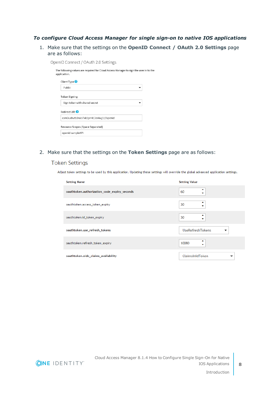### *To configure Cloud Access Manager for single sign-on to native IOS applications*

1. Make sure that the settings on the **OpenID Connect / OAuth 2.0 Settings** page are as follows:

OpenID Connect / OAuth 2.0 Settings

| The following values are required for Cloud Access Manager to sign the user in to the<br>application. |  |
|-------------------------------------------------------------------------------------------------------|--|
| Client Type <sup>O</sup>                                                                              |  |
| Public                                                                                                |  |
| Token Signing                                                                                         |  |
| Sign token with shared secret                                                                         |  |
| Redirect URI <sup>2</sup>                                                                             |  |
| cam3uxhvtb3ruls7xk1prr413er4wj1://openid                                                              |  |
| Resource Scopes (Space Separated)                                                                     |  |
| openid sampleAPI                                                                                      |  |

### 2. Make sure that the settings on the **Token Settings** page are as follows:

### **Token Settings**

Adjust token settings to be used by this application. Updating these settings will override the global advanced application settings.

| <b>Setting Name</b>                          | <b>Setting Value</b>         |
|----------------------------------------------|------------------------------|
| oauthtoken.authorization_code_expiry_seconds | 60<br>۰                      |
| oauthtoken.access_token_expiry               | 30                           |
| oauthtoken.id_token_expiry                   | ▴<br>30<br>▼                 |
| oauthtoken.use_refresh_tokens                | <b>UseRefreshTokens</b><br>▼ |
| oauthtoken.refresh_token_expiry              | ▴<br>10080<br>۰              |
| oauthtoken.oidc_claims_availability          | ClaimsInIdToken<br>▼         |

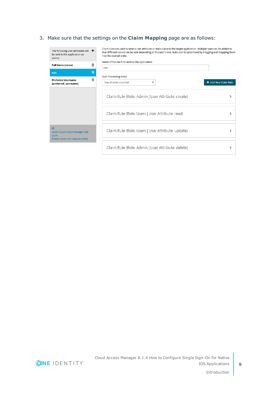### 3. Make sure that the settings on the **Claim Mapping** page are as follows:

| The following user attributes will $\mathbf +$<br>be sent to the application as<br>claims<br><b>Full Name (name)</b> | 倫 | Claim rules are used to send a user attribute or static value to the target application. Multiple rules can be added so<br>that different values can be sent depending on the user's role. Rules can be prioritized by dragging and dropping them<br>into the desired order.<br>Name of the claim to send to the application<br>role |                      |
|----------------------------------------------------------------------------------------------------------------------|---|--------------------------------------------------------------------------------------------------------------------------------------------------------------------------------------------------------------------------------------------------------------------------------------------------------------------------------------|----------------------|
| role                                                                                                                 | 勔 |                                                                                                                                                                                                                                                                                                                                      |                      |
| <b>Preferred Username</b><br>(preferred_username)                                                                    | 血 | Rule Processing Mode<br>Use all rules matched                                                                                                                                                                                                                                                                                        | + Add New Claim Rule |
|                                                                                                                      |   | Claim Rule (Role: Admin   User Attribute: create)                                                                                                                                                                                                                                                                                    |                      |
|                                                                                                                      |   | Claim Rule (Role: Users   User Attribute: read)                                                                                                                                                                                                                                                                                      |                      |
| $\overline{\mathbf{v}}$<br><b>Send Cloud Access Manager role</b><br>claim<br>[Claim name: urn:cam/sso/role]          |   | Claim Rule (Role: Users   User Attribute: update)                                                                                                                                                                                                                                                                                    |                      |
|                                                                                                                      |   | Claim Rule (Role: Admin   User Attribute: delete)                                                                                                                                                                                                                                                                                    | ⋋                    |